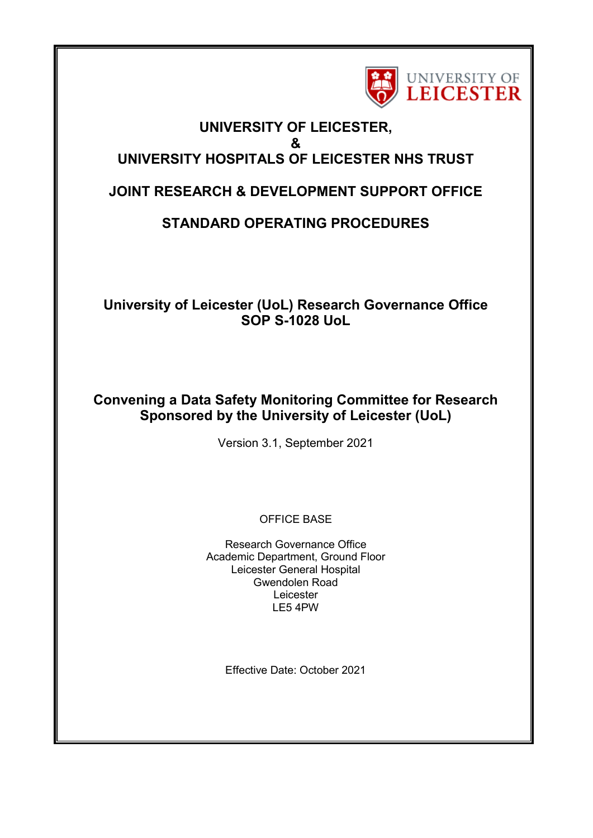

## **UNIVERSITY OF LEICESTER, & UNIVERSITY HOSPITALS OF LEICESTER NHS TRUST**

# **JOINT RESEARCH & DEVELOPMENT SUPPORT OFFICE**

# **STANDARD OPERATING PROCEDURES**

# **University of Leicester (UoL) Research Governance Office SOP S-1028 UoL**

# **Convening a Data Safety Monitoring Committee for Research Sponsored by the University of Leicester (UoL)**

Version 3.1, September 2021

OFFICE BASE

Research Governance Office Academic Department, Ground Floor Leicester General Hospital Gwendolen Road Leicester LE5 4PW

Effective Date: October 2021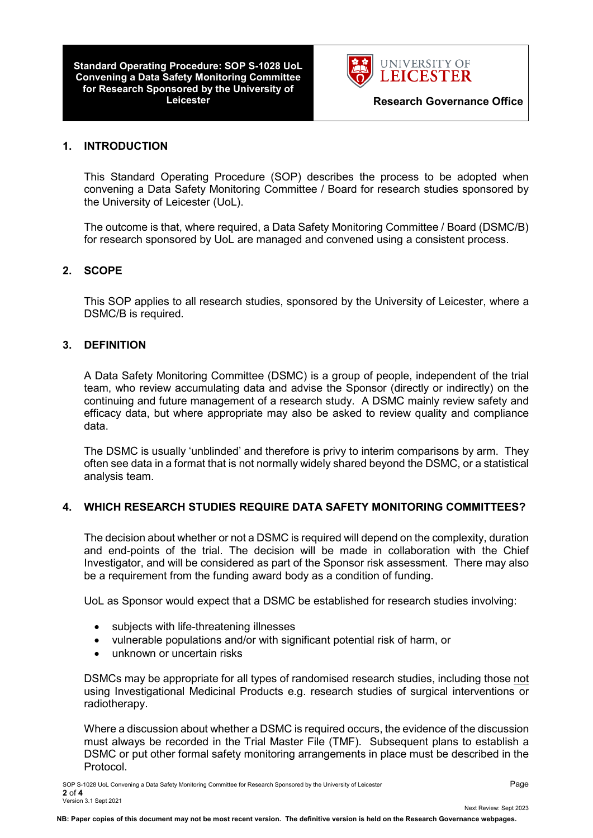**Standard Operating Procedure: SOP S-1028 UoL Convening a Data Safety Monitoring Committee for Research Sponsored by the University of** 



#### **1. INTRODUCTION**

This Standard Operating Procedure (SOP) describes the process to be adopted when convening a Data Safety Monitoring Committee / Board for research studies sponsored by the University of Leicester (UoL).

The outcome is that, where required, a Data Safety Monitoring Committee / Board (DSMC/B) for research sponsored by UoL are managed and convened using a consistent process.

#### **2. SCOPE**

This SOP applies to all research studies, sponsored by the University of Leicester, where a DSMC/B is required.

#### **3. DEFINITION**

A Data Safety Monitoring Committee (DSMC) is a group of people, independent of the trial team, who review accumulating data and advise the Sponsor (directly or indirectly) on the continuing and future management of a research study. A DSMC mainly review safety and efficacy data, but where appropriate may also be asked to review quality and compliance data.

The DSMC is usually 'unblinded' and therefore is privy to interim comparisons by arm. They often see data in a format that is not normally widely shared beyond the DSMC, or a statistical analysis team.

#### **4. WHICH RESEARCH STUDIES REQUIRE DATA SAFETY MONITORING COMMITTEES?**

The decision about whether or not a DSMC is required will depend on the complexity, duration and end-points of the trial. The decision will be made in collaboration with the Chief Investigator, and will be considered as part of the Sponsor risk assessment. There may also be a requirement from the funding award body as a condition of funding.

UoL as Sponsor would expect that a DSMC be established for research studies involving:

- subjects with life-threatening illnesses
- vulnerable populations and/or with significant potential risk of harm, or
- unknown or uncertain risks

DSMCs may be appropriate for all types of randomised research studies, including those not using Investigational Medicinal Products e.g. research studies of surgical interventions or radiotherapy.

Where a discussion about whether a DSMC is required occurs, the evidence of the discussion must always be recorded in the Trial Master File (TMF). Subsequent plans to establish a DSMC or put other formal safety monitoring arrangements in place must be described in the Protocol.

Next Review: Sept 2023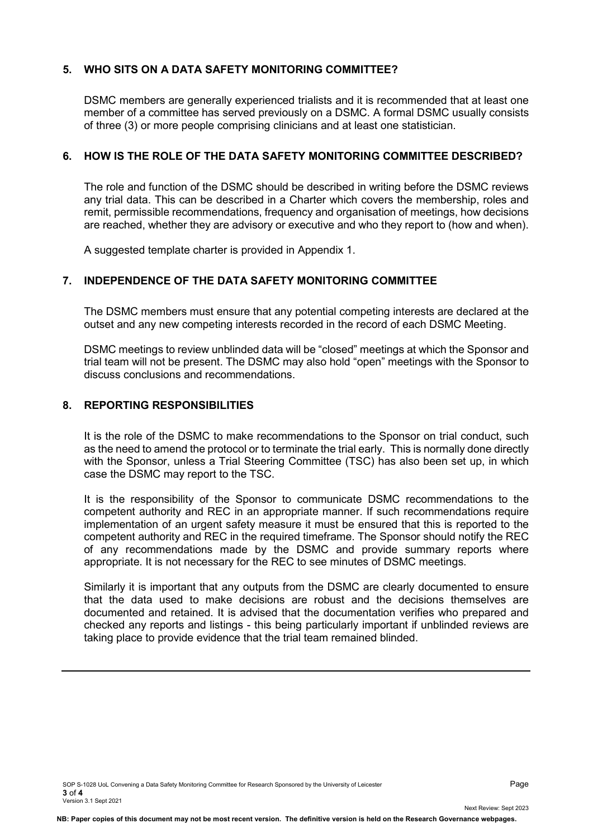### **5. WHO SITS ON A DATA SAFETY MONITORING COMMITTEE?**

DSMC members are generally experienced trialists and it is recommended that at least one member of a committee has served previously on a DSMC. A formal DSMC usually consists of three (3) or more people comprising clinicians and at least one statistician.

### **6. HOW IS THE ROLE OF THE DATA SAFETY MONITORING COMMITTEE DESCRIBED?**

The role and function of the DSMC should be described in writing before the DSMC reviews any trial data. This can be described in a Charter which covers the membership, roles and remit, permissible recommendations, frequency and organisation of meetings, how decisions are reached, whether they are advisory or executive and who they report to (how and when).

A suggested template charter is provided in Appendix 1.

### **7. INDEPENDENCE OF THE DATA SAFETY MONITORING COMMITTEE**

The DSMC members must ensure that any potential competing interests are declared at the outset and any new competing interests recorded in the record of each DSMC Meeting.

DSMC meetings to review unblinded data will be "closed" meetings at which the Sponsor and trial team will not be present. The DSMC may also hold "open" meetings with the Sponsor to discuss conclusions and recommendations.

### **8. REPORTING RESPONSIBILITIES**

It is the role of the DSMC to make recommendations to the Sponsor on trial conduct, such as the need to amend the protocol or to terminate the trial early. This is normally done directly with the Sponsor, unless a Trial Steering Committee (TSC) has also been set up, in which case the DSMC may report to the TSC.

It is the responsibility of the Sponsor to communicate DSMC recommendations to the competent authority and REC in an appropriate manner. If such recommendations require implementation of an urgent safety measure it must be ensured that this is reported to the competent authority and REC in the required timeframe. The Sponsor should notify the REC of any recommendations made by the DSMC and provide summary reports where appropriate. It is not necessary for the REC to see minutes of DSMC meetings.

Similarly it is important that any outputs from the DSMC are clearly documented to ensure that the data used to make decisions are robust and the decisions themselves are documented and retained. It is advised that the documentation verifies who prepared and checked any reports and listings - this being particularly important if unblinded reviews are taking place to provide evidence that the trial team remained blinded.

Next Review: Sept 2023